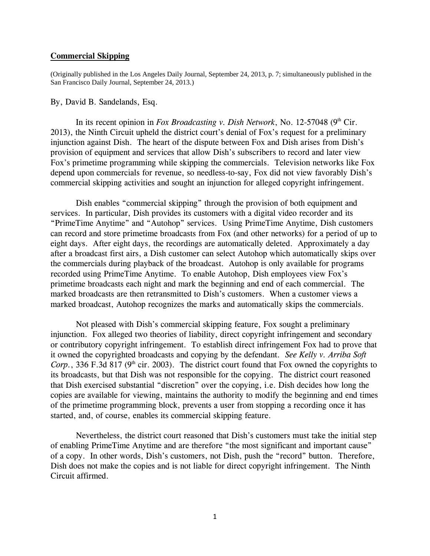## **Commercial Skipping**

(Originally published in the Los Angeles Daily Journal, September 24, 2013, p. 7; simultaneously published in the San Francisco Daily Journal, September 24, 2013.)

## By, David B. Sandelands, Esq.

In its recent opinion in *Fox Broadcasting v. Dish Network*, No. 12-57048 (9<sup>th</sup> Cir. 2013), the Ninth Circuit upheld the district court's denial of Fox's request for a preliminary injunction against Dish. The heart of the dispute between Fox and Dish arises from Dish's provision of equipment and services that allow Dish's subscribers to record and later view Fox's primetime programming while skipping the commercials. Television networks like Fox depend upon commercials for revenue, so needless-to-say, Fox did not view favorably Dish's commercial skipping activities and sought an injunction for alleged copyright infringement.

Dish enables "commercial skipping" through the provision of both equipment and services. In particular, Dish provides its customers with a digital video recorder and its "PrimeTime Anytime" and "Autohop" services. Using PrimeTime Anytime, Dish customers can record and store primetime broadcasts from Fox (and other networks) for a period of up to eight days. After eight days, the recordings are automatically deleted. Approximately a day after a broadcast first airs, a Dish customer can select Autohop which automatically skips over the commercials during playback of the broadcast. Autohop is only available for programs recorded using PrimeTime Anytime. To enable Autohop, Dish employees view Fox's primetime broadcasts each night and mark the beginning and end of each commercial. The marked broadcasts are then retransmitted to Dish's customers. When a customer views a marked broadcast, Autohop recognizes the marks and automatically skips the commercials.

Not pleased with Dish's commercial skipping feature, Fox sought a preliminary injunction. Fox alleged two theories of liability, direct copyright infringement and secondary or contributory copyright infringement. To establish direct infringement Fox had to prove that it owned the copyrighted broadcasts and copying by the defendant. *See Kelly v. Arriba Soft Corp.*, 336 F.3d 817 ( $9<sup>th</sup>$  cir. 2003). The district court found that Fox owned the copyrights to its broadcasts, but that Dish was not responsible for the copying. The district court reasoned that Dish exercised substantial "discretion" over the copying, i.e. Dish decides how long the copies are available for viewing, maintains the authority to modify the beginning and end times of the primetime programming block, prevents a user from stopping a recording once it has started, and, of course, enables its commercial skipping feature.

Nevertheless, the district court reasoned that Dish's customers must take the initial step of enabling PrimeTime Anytime and are therefore "the most significant and important cause" of a copy. In other words, Dish's customers, not Dish, push the "record" button. Therefore, Dish does not make the copies and is not liable for direct copyright infringement. The Ninth Circuit affirmed.